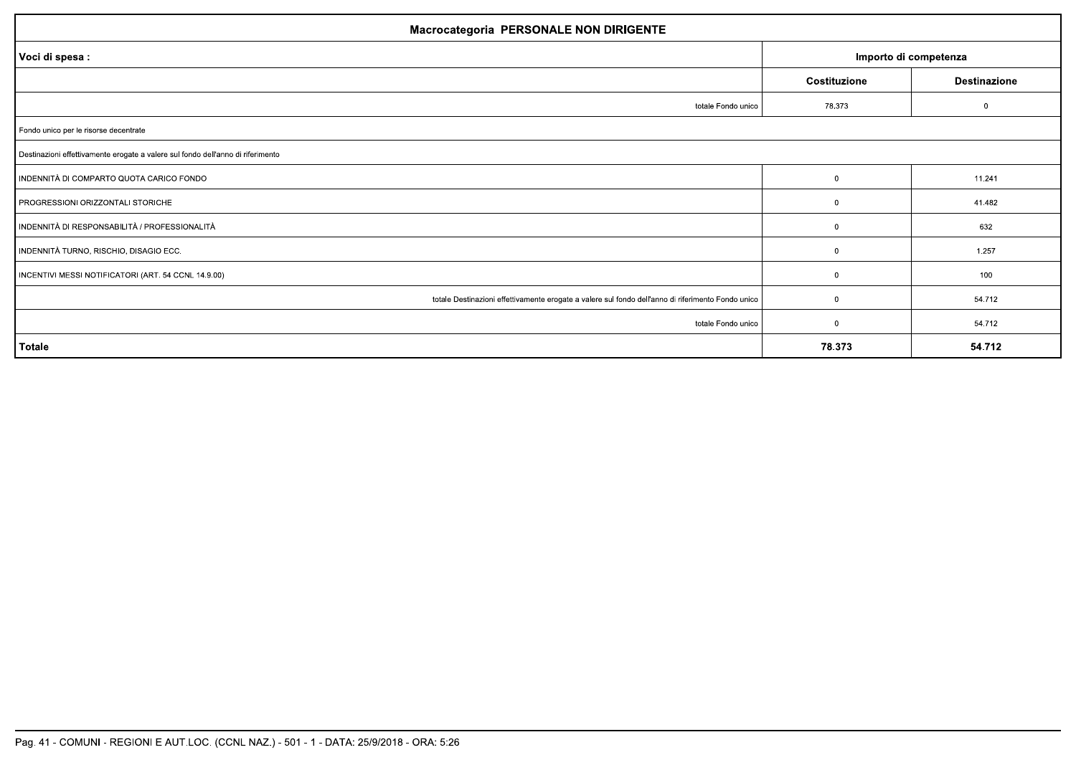| Macrocategoria PERSONALE NON DIRIGENTE                                                             |                       |                     |  |
|----------------------------------------------------------------------------------------------------|-----------------------|---------------------|--|
| Voci di spesa :                                                                                    | Importo di competenza |                     |  |
|                                                                                                    | Costituzione          | <b>Destinazione</b> |  |
| totale Fondo unico                                                                                 | 78.373                | $\Omega$            |  |
| Fondo unico per le risorse decentrate                                                              |                       |                     |  |
| Destinazioni effettivamente erogate a valere sul fondo dell'anno di riferimento                    |                       |                     |  |
| INDENNITÀ DI COMPARTO QUOTA CARICO FONDO                                                           | $\overline{0}$        | 11.241              |  |
| PROGRESSIONI ORIZZONTALI STORICHE                                                                  | $\overline{0}$        | 41.482              |  |
| INDENNITÀ DI RESPONSABILITÀ / PROFESSIONALITÀ                                                      | $\Omega$              | 632                 |  |
| INDENNITÀ TURNO, RISCHIO, DISAGIO ECC.                                                             | $\overline{0}$        | 1.257               |  |
| INCENTIVI MESSI NOTIFICATORI (ART. 54 CCNL 14.9.00)                                                | $\Omega$              | 100                 |  |
| totale Destinazioni effettivamente erogate a valere sul fondo dell'anno di riferimento Fondo unico | $\overline{0}$        | 54.712              |  |
| totale Fondo unico                                                                                 | $\overline{0}$        | 54.712              |  |
| <b>Totale</b>                                                                                      | 78.373                | 54.712              |  |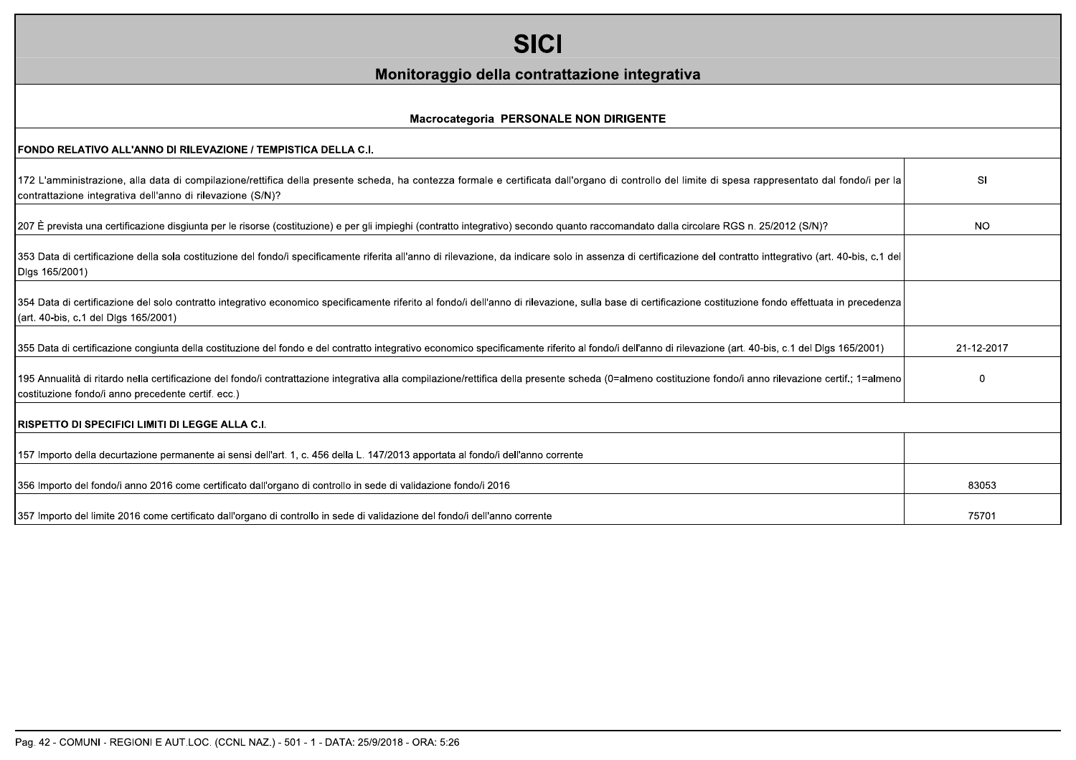## **SICI**

## Monitoraggio della contrattazione integrativa

|  | Macrocategoria PERSONALE NON DIRIGENTE |
|--|----------------------------------------|
|--|----------------------------------------|

| IFONDO RELATIVO ALL'ANNO DI RILEVAZIONE / TEMPISTICA DELLA C.I.                                                                                                                                                                                                 |            |
|-----------------------------------------------------------------------------------------------------------------------------------------------------------------------------------------------------------------------------------------------------------------|------------|
| 172 L'amministrazione, alla data di compilazione/rettifica della presente scheda, ha contezza formale e certificata dall'organo di controllo del limite di spesa rappresentato dal fondo/i per la<br>contrattazione integrativa dell'anno di rilevazione (S/N)? | SI         |
| 207 È prevista una certificazione disgiunta per le risorse (costituzione) e per gli impieghi (contratto integrativo) secondo quanto raccomandato dalla circolare RGS n. 25/2012 (S/N)?                                                                          | NO.        |
| [353 Data di certificazione della sola costituzione del fondo/i specificamente riferita all'anno di rilevazione, da indicare solo in assenza di certificazione del contratto inttegrativo (art. 40-bis, c.1 del<br>Digs 165/2001)                               |            |
| 354 Data di certificazione del solo contratto integrativo economico specificamente riferito al fondo/i dell'anno di rilevazione, sulla base di certificazione costituzione fondo effettuata in precedenza<br>cart. 40-bis. c.1 del Dlgs 165/2001)               |            |
| 355 Data di certificazione congiunta della costituzione del fondo e del contratto integrativo economico specificamente riferito al fondo/i dell'anno di rilevazione (art. 40-bis, c.1 del Dlgs 165/2001)                                                        | 21-12-2017 |
| 195 Annualità di ritardo nella certificazione del fondo/i contrattazione integrativa alla compilazione/rettifica della presente scheda (0=almeno costituzione fondo/i anno rilevazione certif.; 1=almeno<br>costituzione fondo/i anno precedente certif. ecc.)  |            |
| <b>RISPETTO DI SPECIFICI LIMITI DI LEGGE ALLA C.I.</b>                                                                                                                                                                                                          |            |
| 157 Importo della decurtazione permanente ai sensi dell'art. 1, c. 456 della L. 147/2013 apportata al fondo/i dell'anno corrente                                                                                                                                |            |
| 356 Importo del fondo/i anno 2016 come certificato dall'organo di controllo in sede di validazione fondo/i 2016                                                                                                                                                 | 83053      |
| 357 Importo del limite 2016 come certificato dall'organo di controllo in sede di validazione del fondo/i dell'anno corrente                                                                                                                                     | 75701      |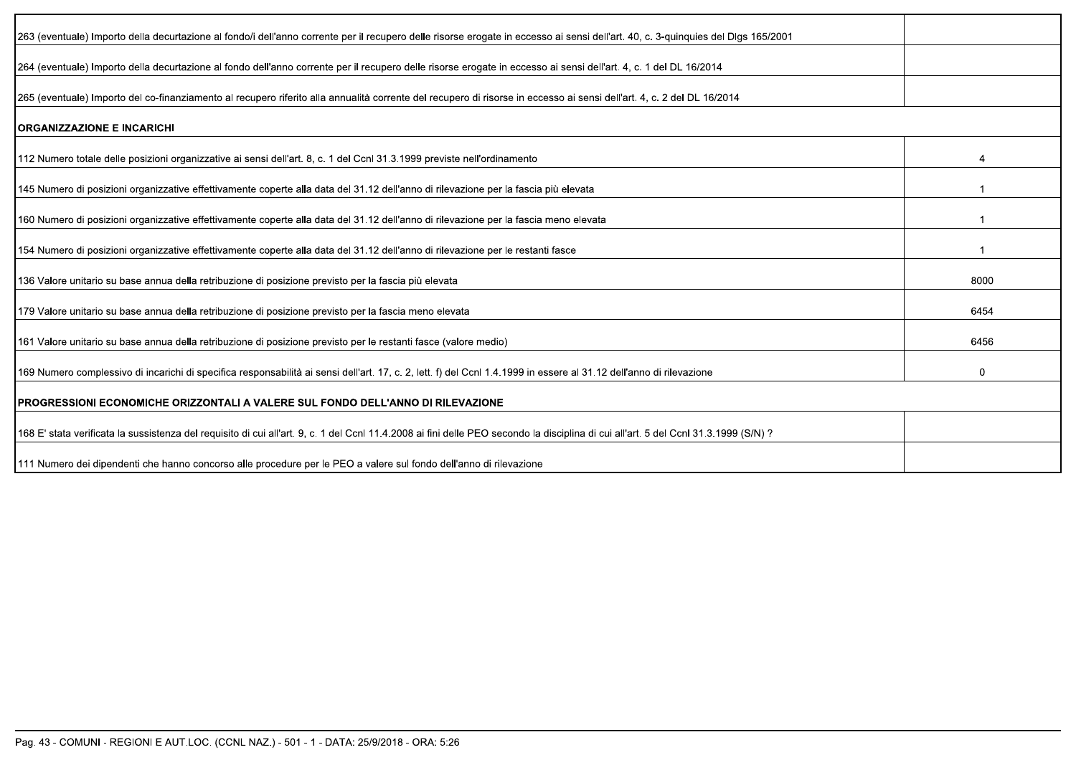| 263 (eventuale) Importo della decurtazione al fondo/i dell'anno corrente per il recupero delle risorse erogate in eccesso ai sensi dell'art. 40, c. 3-quinquies del Dlgs 165/2001    |              |
|--------------------------------------------------------------------------------------------------------------------------------------------------------------------------------------|--------------|
| 264 (eventuale) Importo della decurtazione al fondo dell'anno corrente per il recupero delle risorse erogate in eccesso ai sensi dell'art. 4, c. 1 del DL 16/2014                    |              |
| 265 (eventuale) Importo del co-finanziamento al recupero riferito alla annualità corrente del recupero di risorse in eccesso ai sensi dell'art. 4, c. 2 del DL 16/2014               |              |
| <b>ORGANIZZAZIONE E INCARICHI</b>                                                                                                                                                    |              |
| 112 Numero totale delle posizioni organizzative ai sensi dell'art. 8, c. 1 del Ccnl 31.3.1999 previste nell'ordinamento                                                              | 4            |
| 145 Numero di posizioni organizzative effettivamente coperte alla data del 31.12 dell'anno di rilevazione per la fascia più elevata                                                  |              |
| 160 Numero di posizioni organizzative effettivamente coperte alla data del 31.12 dell'anno di rilevazione per la fascia meno elevata                                                 |              |
| 154 Numero di posizioni organizzative effettivamente coperte alla data del 31.12 dell'anno di rilevazione per le restanti fasce                                                      |              |
| 136 Valore unitario su base annua della retribuzione di posizione previsto per la fascia più elevata                                                                                 | 8000         |
| 179 Valore unitario su base annua della retribuzione di posizione previsto per la fascia meno elevata                                                                                | 6454         |
| 161 Valore unitario su base annua della retribuzione di posizione previsto per le restanti fasce (valore medio)                                                                      | 6456         |
| 169 Numero complessivo di incarichi di specifica responsabilità ai sensi dell'art. 17, c. 2, lett. f) del Ccnl 1.4.1999 in essere al 31.12 dell'anno di rilevazione                  | $\mathbf{0}$ |
| PROGRESSIONI ECONOMICHE ORIZZONTALI A VALERE SUL FONDO DELL'ANNO DI RILEVAZIONE                                                                                                      |              |
| 168 E' stata verificata la sussistenza del requisito di cui all'art. 9, c. 1 del Ccnl 11.4.2008 ai fini delle PEO secondo la disciplina di cui all'art. 5 del Ccnl 31.3.1999 (S/N) ? |              |
| 111 Numero dei dipendenti che hanno concorso alle procedure per le PEO a valere sul fondo dell'anno di rilevazione                                                                   |              |